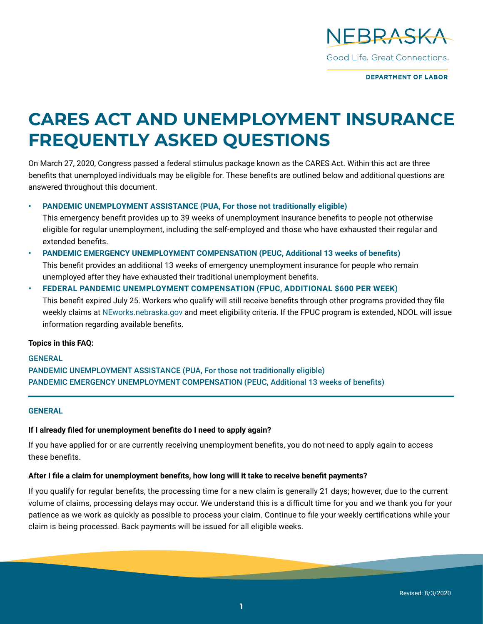

**DEPARTMENT OF LABOR** 

# **CARES ACT AND UNEMPLOYMENT INSURANCE FREQUENTLY ASKED QUESTIONS**

On March 27, 2020, Congress passed a federal stimulus package known as the CARES Act. Within this act are three benefits that unemployed individuals may be eligible for. These benefits are outlined below and additional questions are answered throughout this document.

**• [PANDEMIC UNEMPLOYMENT ASSISTANCE](#page-1-0) (PUA, For those not traditionally eligible)**

This emergency benefit provides up to 39 weeks of unemployment insurance benefits to people not otherwise eligible for regular unemployment, including the self-employed and those who have exhausted their regular and extended benefits.

# **• [PANDEMIC EMERGENCY UNEMPLOYMENT COMPENSATION](#page-1-0) (PEUC, Additional 13 weeks of benefits)** This benefit provides an additional 13 weeks of emergency unemployment insurance for people who remain unemployed after they have exhausted their traditional unemployment benefits.

**• FEDERAL PANDEMIC UNEMPLOYMENT COMPENSATION (FPUC, ADDITIONAL \$600 PER WEEK)** This benefit expired July 25. Workers who qualify will still receive benefits through other programs provided they file weekly claims at [NEworks.nebraska.gov](http://NEworks.nebraska.gov) and meet eligibility criteria. If the FPUC program is extended, NDOL will issue information regarding available benefits.

#### **Topics in this FAQ:**

# **GENERAL** [PANDEMIC UNEMPLOYMENT ASSISTANCE \(PUA, For those not traditionally eligible\)](#page-1-0) [PANDEMIC EMERGENCY UNEMPLOYMENT COMPENSATION](#page-1-0) (PEUC, Additional 13 weeks of benefits)

#### **GENERAL**

# **If I already filed for unemployment benefits do I need to apply again?**

If you have applied for or are currently receiving unemployment benefits, you do not need to apply again to access these benefits.

#### **After I file a claim for unemployment benefits, how long will it take to receive benefit payments?**

If you qualify for regular benefits, the processing time for a new claim is generally 21 days; however, due to the current volume of claims, processing delays may occur. We understand this is a difficult time for you and we thank you for your patience as we work as quickly as possible to process your claim. Continue to file your weekly certifications while your claim is being processed. Back payments will be issued for all eligible weeks.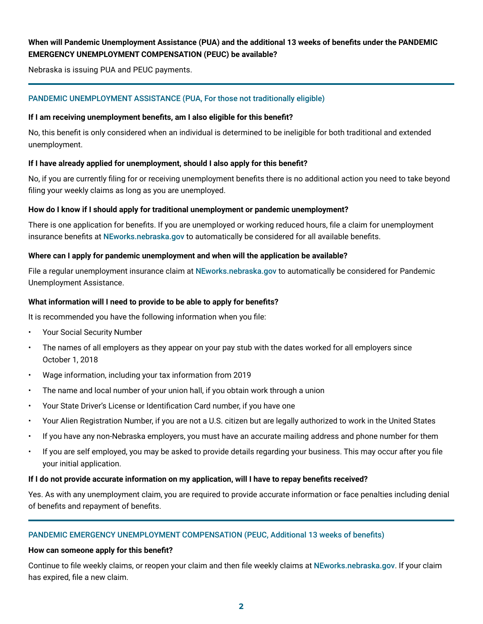# <span id="page-1-0"></span>**When will Pandemic Unemployment Assistance (PUA) and the additional 13 weeks of benefits under the PANDEMIC EMERGENCY UNEMPLOYMENT COMPENSATION (PEUC) be available?**

Nebraska is issuing PUA and PEUC payments.

# PANDEMIC UNEMPLOYMENT ASSISTANCE (PUA, For those not traditionally eligible)

#### **If I am receiving unemployment benefits, am I also eligible for this benefit?**

No, this benefit is only considered when an individual is determined to be ineligible for both traditional and extended unemployment.

#### **If I have already applied for unemployment, should I also apply for this benefit?**

No, if you are currently filing for or receiving unemployment benefits there is no additional action you need to take beyond filing your weekly claims as long as you are unemployed.

#### **How do I know if I should apply for traditional unemployment or pandemic unemployment?**

There is one application for benefits. If you are unemployed or working reduced hours, file a claim for unemployment insurance benefits at [NEworks.nebraska.gov](http://NEworks.nebraska.gov) to automatically be considered for all available benefits.

#### **Where can I apply for pandemic unemployment and when will the application be available?**

File a regular unemployment insurance claim at [NEworks.nebraska.gov](https://neworks.nebraska.gov/vosnet/Default.aspx) to automatically be considered for Pandemic Unemployment Assistance.

#### **What information will I need to provide to be able to apply for benefits?**

It is recommended you have the following information when you file:

- Your Social Security Number
- The names of all employers as they appear on your pay stub with the dates worked for all employers since October 1, 2018
- Wage information, including your tax information from 2019
- The name and local number of your union hall, if you obtain work through a union
- Your State Driver's License or Identification Card number, if you have one
- Your Alien Registration Number, if you are not a U.S. citizen but are legally authorized to work in the United States
- If you have any non-Nebraska employers, you must have an accurate mailing address and phone number for them
- If you are self employed, you may be asked to provide details regarding your business. This may occur after you file your initial application.

#### **If I do not provide accurate information on my application, will I have to repay benefits received?**

Yes. As with any unemployment claim, you are required to provide accurate information or face penalties including denial of benefits and repayment of benefits.

# PANDEMIC EMERGENCY UNEMPLOYMENT COMPENSATION (PEUC, Additional 13 weeks of benefits)

#### **How can someone apply for this benefit?**

Continue to file weekly claims, or reopen your claim and then file weekly claims at [NEworks.nebraska.gov](http://NEworks.nebraska.gov). If your claim has expired, file a new claim.